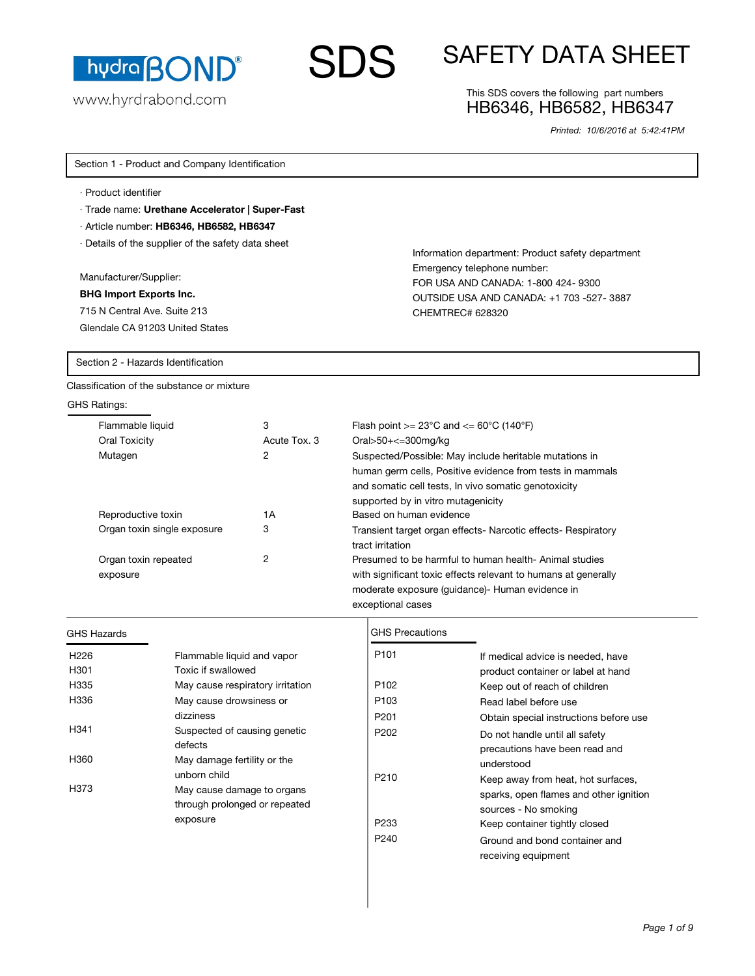

www.hyrdrabond.com

# $\mathbf S$  SAFETY DATA SHEET

# This SDS covers the following part numbers HB6346, HB6582, HB6347

Information department: Product safety department

FOR USA AND CANADA: 1-800 424- 9300 OUTSIDE USA AND CANADA: +1 703 -527- 3887

Emergency telephone number:

CHEMTREC# 628320

*Printed: 10/6/2016 at 5:42:41PM*

Section 1 - Product and Company Identification

- · Product identifier
- · Trade name: **Urethane Accelerator | Super-Fast**
- · Article number: **HB6346, HB6582, HB6347**
- · Details of the supplier of the safety data sheet

Manufacturer/Supplier:

### **BHG Import Exports Inc.**

715 N Central Ave. Suite 213 Glendale CA 91203 United States

Section 2 - Hazards Identification

Classification of the substance or mixture

# GHS Ratings:

| .                                |              |                                                                                                                                                                                                                   |
|----------------------------------|--------------|-------------------------------------------------------------------------------------------------------------------------------------------------------------------------------------------------------------------|
| Flammable liquid                 | 3            | Flash point $>= 23^{\circ}$ C and $<= 60^{\circ}$ C (140 $^{\circ}$ F)                                                                                                                                            |
| Oral Toxicity                    | Acute Tox, 3 | Oral>50+ $\leq$ =300mg/kg                                                                                                                                                                                         |
| Mutagen                          | 2            | Suspected/Possible: May include heritable mutations in<br>human germ cells, Positive evidence from tests in mammals<br>and somatic cell tests, In vivo somatic genotoxicity<br>supported by in vitro mutagenicity |
| Reproductive toxin               | 1А           | Based on human evidence                                                                                                                                                                                           |
| Organ toxin single exposure      | 3            | Transient target organ effects- Narcotic effects- Respiratory<br>tract irritation                                                                                                                                 |
| Organ toxin repeated<br>exposure | 2            | Presumed to be harmful to human health- Animal studies<br>with significant toxic effects relevant to humans at generally<br>moderate exposure (guidance)- Human evidence in<br>exceptional cases                  |

GHS Precautions

# GHS Hazards

| H <sub>226</sub> | Flammable liquid and vapor                                  | P <sub>101</sub> | If medical advice is needed, have                                |
|------------------|-------------------------------------------------------------|------------------|------------------------------------------------------------------|
| H301             | Toxic if swallowed                                          |                  | product container or label at hand                               |
| H335             | May cause respiratory irritation                            | P <sub>102</sub> | Keep out of reach of children                                    |
| H336             | May cause drowsiness or                                     | P <sub>103</sub> | Read label before use                                            |
|                  | dizziness                                                   | P <sub>201</sub> | Obtain special instructions before use                           |
| H <sub>341</sub> | Suspected of causing genetic<br>defects                     | P <sub>202</sub> | Do not handle until all safety<br>precautions have been read and |
| H360             | May damage fertility or the<br>unborn child                 | P <sub>210</sub> | understood<br>Keep away from heat, hot surfaces,                 |
| H373             | May cause damage to organs<br>through prolonged or repeated |                  | sparks, open flames and other ignition<br>sources - No smoking   |
|                  | exposure                                                    | P <sub>233</sub> | Keep container tightly closed                                    |
|                  |                                                             | P <sub>240</sub> | Ground and bond container and<br>receiving equipment             |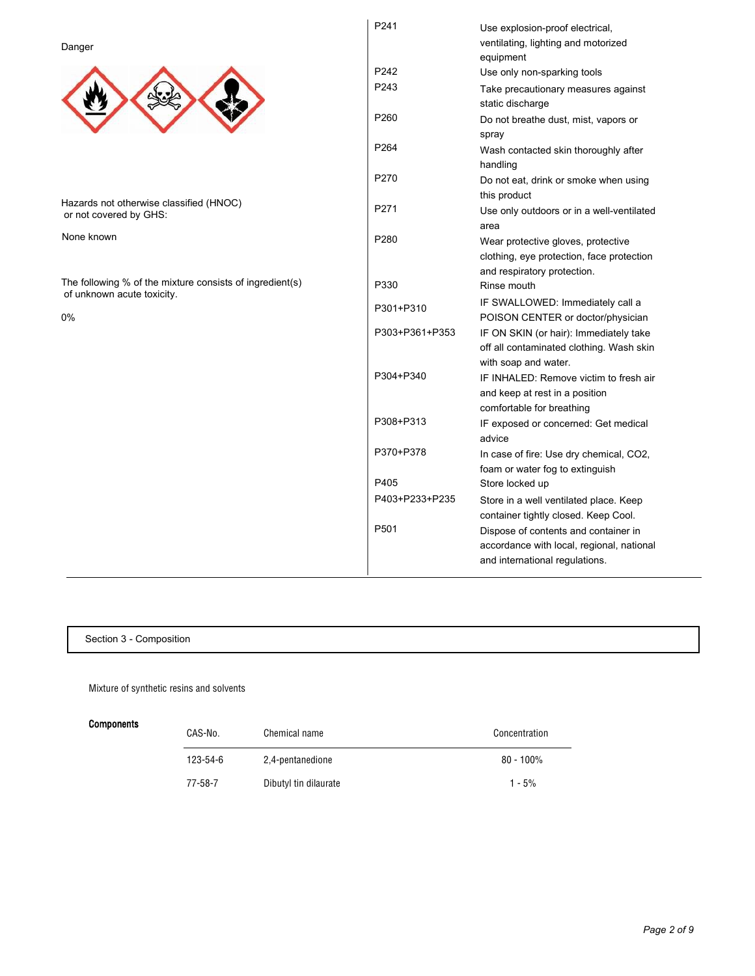Danger



Hazards not otherwise classified (HNOC) or not covered by GHS:

None known

The following % of the mixture consists of ingredient(s) of unknown acute toxicity.

0%

| P241             | Use explosion-proof electrical,<br>ventilating, lighting and motorized<br>equipment                                 |
|------------------|---------------------------------------------------------------------------------------------------------------------|
| P242             | Use only non-sparking tools                                                                                         |
| P243             | Take precautionary measures against<br>static discharge                                                             |
| P260             | Do not breathe dust, mist, vapors or<br>spray                                                                       |
| P <sub>264</sub> | Wash contacted skin thoroughly after<br>handling                                                                    |
| P270             | Do not eat, drink or smoke when using<br>this product                                                               |
| P271             | Use only outdoors or in a well-ventilated<br>area                                                                   |
| P280             | Wear protective gloves, protective<br>clothing, eye protection, face protection<br>and respiratory protection.      |
| P330             | Rinse mouth                                                                                                         |
| P301+P310        | IF SWALLOWED: Immediately call a<br>POISON CENTER or doctor/physician                                               |
| P303+P361+P353   | IF ON SKIN (or hair): Immediately take<br>off all contaminated clothing. Wash skin<br>with soap and water.          |
| P304+P340        | IF INHALED: Remove victim to fresh air<br>and keep at rest in a position<br>comfortable for breathing               |
| P308+P313        | IF exposed or concerned: Get medical<br>advice                                                                      |
| P370+P378        | In case of fire: Use dry chemical, CO2,<br>foam or water fog to extinguish                                          |
| P405             | Store locked up                                                                                                     |
| P403+P233+P235   | Store in a well ventilated place. Keep<br>container tightly closed. Keep Cool.                                      |
| P <sub>501</sub> | Dispose of contents and container in<br>accordance with local, regional, national<br>and international regulations. |

Section 3 - Composition

Mixture of synthetic resins and solvents

Components

| CAS-No.        | Chemical name         | Concentration |
|----------------|-----------------------|---------------|
| $123 - 54 - 6$ | 2,4-pentanedione      | $80 - 100\%$  |
| 77-58-7        | Dibutyl tin dilaurate | $1 - 5%$      |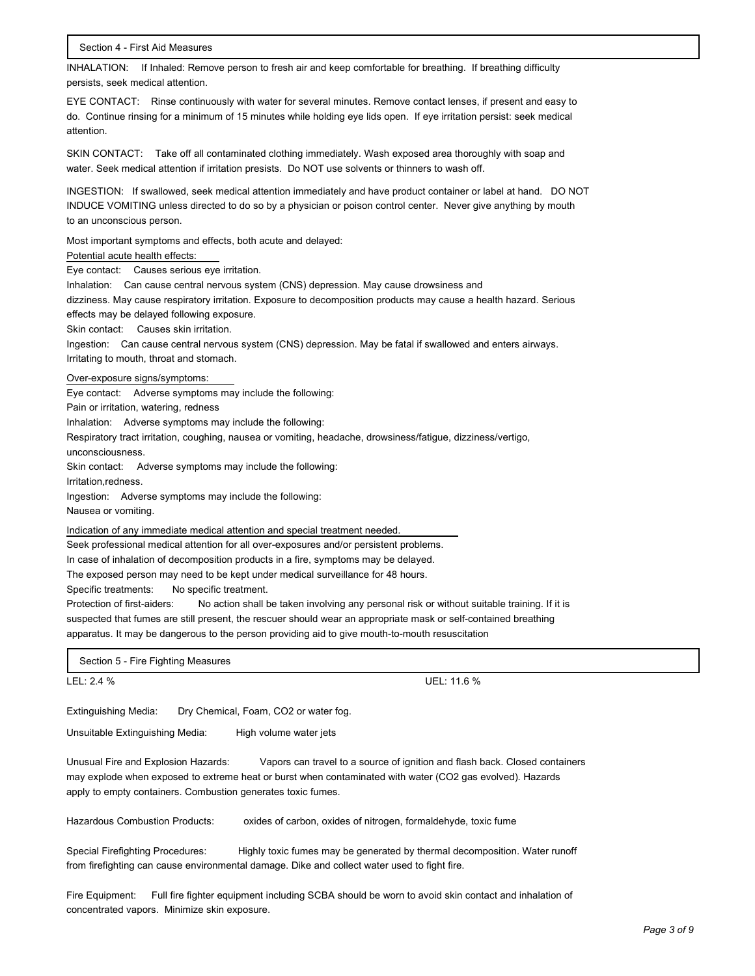INHALATION: If Inhaled: Remove person to fresh air and keep comfortable for breathing. If breathing difficulty persists, seek medical attention.

EYE CONTACT: Rinse continuously with water for several minutes. Remove contact lenses, if present and easy to do. Continue rinsing for a minimum of 15 minutes while holding eye lids open. If eye irritation persist: seek medical attention.

SKIN CONTACT: Take off all contaminated clothing immediately. Wash exposed area thoroughly with soap and water. Seek medical attention if irritation presists. Do NOT use solvents or thinners to wash off.

INGESTION: If swallowed, seek medical attention immediately and have product container or label at hand. DO NOT INDUCE VOMITING unless directed to do so by a physician or poison control center. Never give anything by mouth to an unconscious person.

Most important symptoms and effects, both acute and delayed:

#### Potential acute health effects:

Eye contact: Causes serious eye irritation.

Inhalation: Can cause central nervous system (CNS) depression. May cause drowsiness and dizziness. May cause respiratory irritation. Exposure to decomposition products may cause a health hazard. Serious effects may be delayed following exposure.

Skin contact: Causes skin irritation.

Ingestion: Can cause central nervous system (CNS) depression. May be fatal if swallowed and enters airways. Irritating to mouth, throat and stomach.

#### Over-exposure signs/symptoms:

Eye contact: Adverse symptoms may include the following:

Pain or irritation, watering, redness

Inhalation: Adverse symptoms may include the following:

Respiratory tract irritation, coughing, nausea or vomiting, headache, drowsiness/fatigue, dizziness/vertigo,

unconsciousness.

Skin contact: Adverse symptoms may include the following:

Irritation,redness.

Ingestion: Adverse symptoms may include the following:

Nausea or vomiting.

Indication of any immediate medical attention and special treatment needed.

Seek professional medical attention for all over-exposures and/or persistent problems.

In case of inhalation of decomposition products in a fire, symptoms may be delayed.

The exposed person may need to be kept under medical surveillance for 48 hours.

Specific treatments: No specific treatment.

Protection of first-aiders: No action shall be taken involving any personal risk or without suitable training. If it is suspected that fumes are still present, the rescuer should wear an appropriate mask or self-contained breathing apparatus. It may be dangerous to the person providing aid to give mouth-to-mouth resuscitation

Section 5 - Fire Fighting Measures

LEL: 2.4 % UEL: 11.6 %

Extinguishing Media: Dry Chemical, Foam, CO2 or water fog.

Unsuitable Extinguishing Media: High volume water jets

Unusual Fire and Explosion Hazards: Vapors can travel to a source of ignition and flash back. Closed containers may explode when exposed to extreme heat or burst when contaminated with water (CO2 gas evolved). Hazards apply to empty containers. Combustion generates toxic fumes.

Hazardous Combustion Products: oxides of carbon, oxides of nitrogen, formaldehyde, toxic fume

Special Firefighting Procedures: Highly toxic fumes may be generated by thermal decomposition. Water runoff from firefighting can cause environmental damage. Dike and collect water used to fight fire.

Fire Equipment: Full fire fighter equipment including SCBA should be worn to avoid skin contact and inhalation of concentrated vapors. Minimize skin exposure.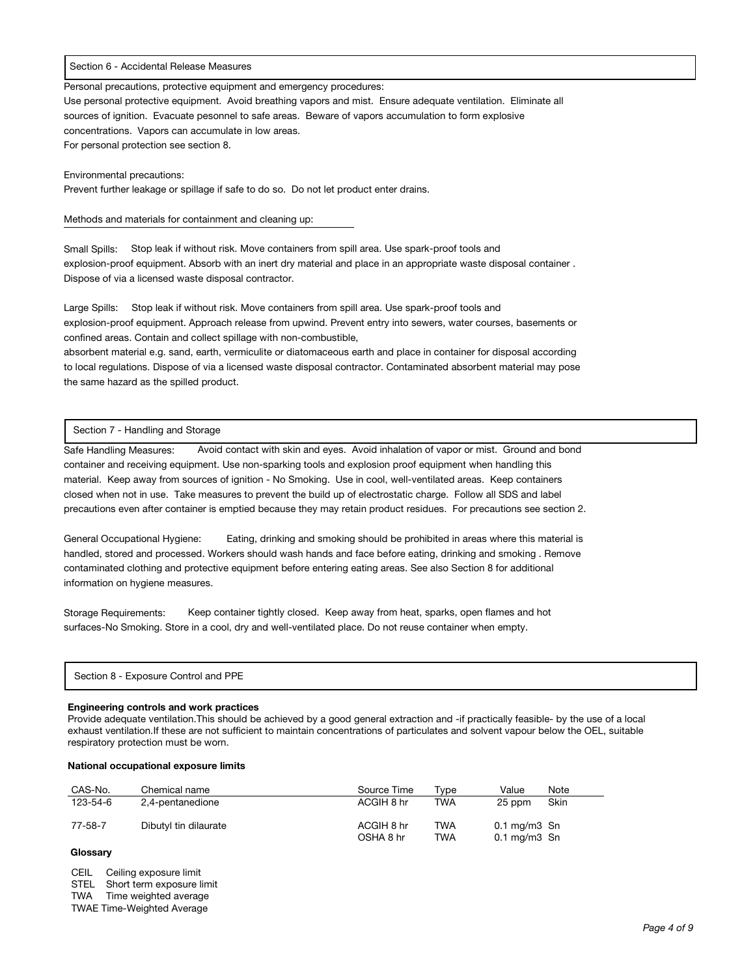#### Section 6 - Accidental Release Measures

Personal precautions, protective equipment and emergency procedures:

Use personal protective equipment. Avoid breathing vapors and mist. Ensure adequate ventilation. Eliminate all sources of ignition. Evacuate pesonnel to safe areas. Beware of vapors accumulation to form explosive concentrations. Vapors can accumulate in low areas. For personal protection see section 8.

Environmental precautions:

Prevent further leakage or spillage if safe to do so. Do not let product enter drains.

Methods and materials for containment and cleaning up:

Small Spills: Stop leak if without risk. Move containers from spill area. Use spark-proof tools and explosion-proof equipment. Absorb with an inert dry material and place in an appropriate waste disposal container . Dispose of via a licensed waste disposal contractor.

Large Spills: Stop leak if without risk. Move containers from spill area. Use spark-proof tools and explosion-proof equipment. Approach release from upwind. Prevent entry into sewers, water courses, basements or confined areas. Contain and collect spillage with non-combustible,

absorbent material e.g. sand, earth, vermiculite or diatomaceous earth and place in container for disposal according to local regulations. Dispose of via a licensed waste disposal contractor. Contaminated absorbent material may pose the same hazard as the spilled product.

#### Section 7 - Handling and Storage

Safe Handling Measures: Avoid contact with skin and eyes. Avoid inhalation of vapor or mist. Ground and bond container and receiving equipment. Use non-sparking tools and explosion proof equipment when handling this material. Keep away from sources of ignition - No Smoking. Use in cool, well-ventilated areas. Keep containers closed when not in use. Take measures to prevent the build up of electrostatic charge. Follow all SDS and label precautions even after container is emptied because they may retain product residues. For precautions see section 2.

General Occupational Hygiene: Eating, drinking and smoking should be prohibited in areas where this material is handled, stored and processed. Workers should wash hands and face before eating, drinking and smoking . Remove contaminated clothing and protective equipment before entering eating areas. See also Section 8 for additional information on hygiene measures.

Storage Requirements: Keep container tightly closed. Keep away from heat, sparks, open flames and hot surfaces-No Smoking. Store in a cool, dry and well-ventilated place. Do not reuse container when empty.

| Section 8 - Exposure Control and PPE |
|--------------------------------------|
|--------------------------------------|

#### **Engineering controls and work practices**

Provide adequate ventilation.This should be achieved by a good general extraction and -if practically feasible- by the use of a local exhaust ventilation.If these are not sufficient to maintain concentrations of particulates and solvent vapour below the OEL, suitable respiratory protection must be worn.

#### **National occupational exposure limits**

| CAS-No.  | Chemical name         | Source Time             | Tvpe                     | Value                                              | Note |
|----------|-----------------------|-------------------------|--------------------------|----------------------------------------------------|------|
| 123-54-6 | 2,4-pentanedione      | ACGIH 8 hr              | TWA                      | 25 ppm                                             | Skin |
| 77-58-7  | Dibutyl tin dilaurate | ACGIH 8 hr<br>OSHA 8 hr | <b>TWA</b><br><b>TWA</b> | $0.1 \text{ mg/m}$ 3 Sn<br>$0.1 \text{ mg/m}$ 3 Sn |      |

# **Glossary**

CEIL Ceiling exposure limit

STEL Short term exposure limit

TWA Time weighted average

TWAE Time-Weighted Average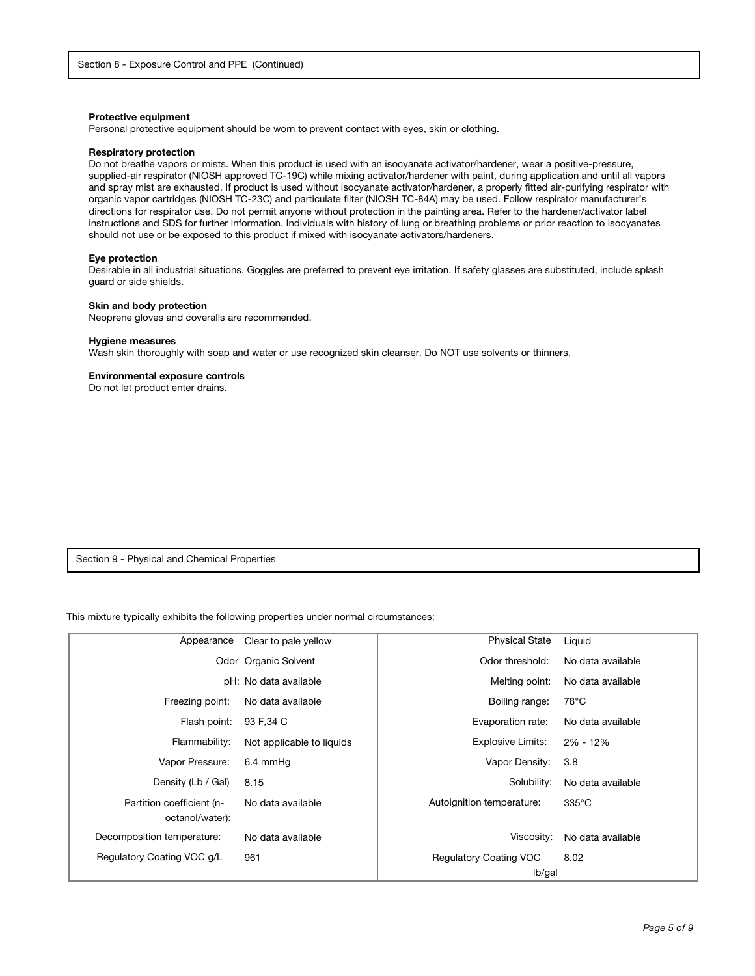#### **Protective equipment**

Personal protective equipment should be worn to prevent contact with eyes, skin or clothing.

#### **Respiratory protection**

Do not breathe vapors or mists. When this product is used with an isocyanate activator/hardener, wear a positive-pressure, supplied-air respirator (NIOSH approved TC-19C) while mixing activator/hardener with paint, during application and until all vapors and spray mist are exhausted. If product is used without isocyanate activator/hardener, a properly fitted air-purifying respirator with organic vapor cartridges (NIOSH TC-23C) and particulate filter (NIOSH TC-84A) may be used. Follow respirator manufacturer's directions for respirator use. Do not permit anyone without protection in the painting area. Refer to the hardener/activator label instructions and SDS for further information. Individuals with history of lung or breathing problems or prior reaction to isocyanates should not use or be exposed to this product if mixed with isocyanate activators/hardeners.

#### **Eye protection**

Desirable in all industrial situations. Goggles are preferred to prevent eye irritation. If safety glasses are substituted, include splash guard or side shields.

#### **Skin and body protection**

Neoprene gloves and coveralls are recommended.

#### **Hygiene measures**

Wash skin thoroughly with soap and water or use recognized skin cleanser. Do NOT use solvents or thinners.

#### **Environmental exposure controls**

Do not let product enter drains.

Section 9 - Physical and Chemical Properties

This mixture typically exhibits the following properties under normal circumstances:

| Appearance                                   | Clear to pale yellow      | <b>Physical State</b>                   | Liquid            |
|----------------------------------------------|---------------------------|-----------------------------------------|-------------------|
|                                              | Odor Organic Solvent      | Odor threshold:                         | No data available |
|                                              | pH: No data available     | Melting point:                          | No data available |
| Freezing point:                              | No data available         | Boiling range:                          | $78^{\circ}$ C    |
| Flash point:                                 | 93 F, 34 C                | Evaporation rate:                       | No data available |
| Flammability:                                | Not applicable to liquids | Explosive Limits:                       | 2% - 12%          |
| Vapor Pressure:                              | 6.4 mmHq                  | Vapor Density:                          | 3.8               |
| Density (Lb / Gal)                           | 8.15                      | Solubility:                             | No data available |
| Partition coefficient (n-<br>octanol/water): | No data available         | Autoignition temperature:               | $335^{\circ}$ C   |
| Decomposition temperature:                   | No data available         | Viscosity:                              | No data available |
| Regulatory Coating VOC g/L                   | 961                       | <b>Regulatory Coating VOC</b><br>lb/gal | 8.02              |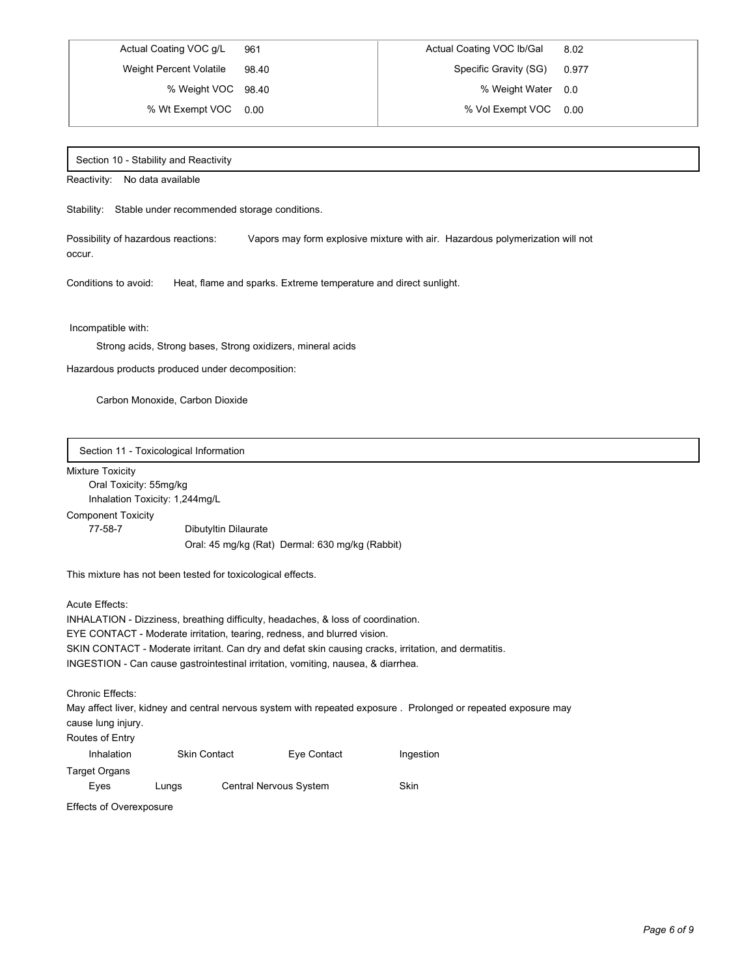% Wt Exempt VOC 0.00 % Vol Exempt VOC 0.00

# Actual Coating VOC g/L 961 Actual Coating VOC lb/Gal 8.02 Weight Percent Volatile 98.40 Specific Gravity (SG) 0.977 % Weight VOC 98.40 <br>  $\begin{array}{ccc} \bullet & \bullet & \bullet & \bullet \\ \bullet & \bullet & \bullet & \bullet & \bullet \end{array}$  % Weight Water 0.0

#### Section 10 - Stability and Reactivity

Reactivity: No data available

Stability: Stable under recommended storage conditions.

Possibility of hazardous reactions: Vapors may form explosive mixture with air. Hazardous polymerization will not occur.

Conditions to avoid: Heat, flame and sparks. Extreme temperature and direct sunlight.

Incompatible with:

Strong acids, Strong bases, Strong oxidizers, mineral acids

Hazardous products produced under decomposition:

Carbon Monoxide, Carbon Dioxide

Section 11 - Toxicological Information

#### Mixture Toxicity

Oral Toxicity: 55mg/kg Inhalation Toxicity: 1,244mg/L

# Component Toxicity

77-58-7 Dibutyltin Dilaurate Oral: 45 mg/kg (Rat) Dermal: 630 mg/kg (Rabbit)

This mixture has not been tested for toxicological effects.

Acute Effects:

INHALATION - Dizziness, breathing difficulty, headaches, & loss of coordination. EYE CONTACT - Moderate irritation, tearing, redness, and blurred vision. SKIN CONTACT - Moderate irritant. Can dry and defat skin causing cracks, irritation, and dermatitis. INGESTION - Can cause gastrointestinal irritation, vomiting, nausea, & diarrhea.

Chronic Effects:

May affect liver, kidney and central nervous system with repeated exposure . Prolonged or repeated exposure may cause lung injury.

Routes of Entry

| Inhalation              |       | <b>Skin Contact</b> | Eye Contact            | Ingestion |
|-------------------------|-------|---------------------|------------------------|-----------|
| Target Organs           |       |                     |                        |           |
| Eves                    | Lungs |                     | Central Nervous System | Skin      |
| Effects of Overexposure |       |                     |                        |           |

Effects of Overexposure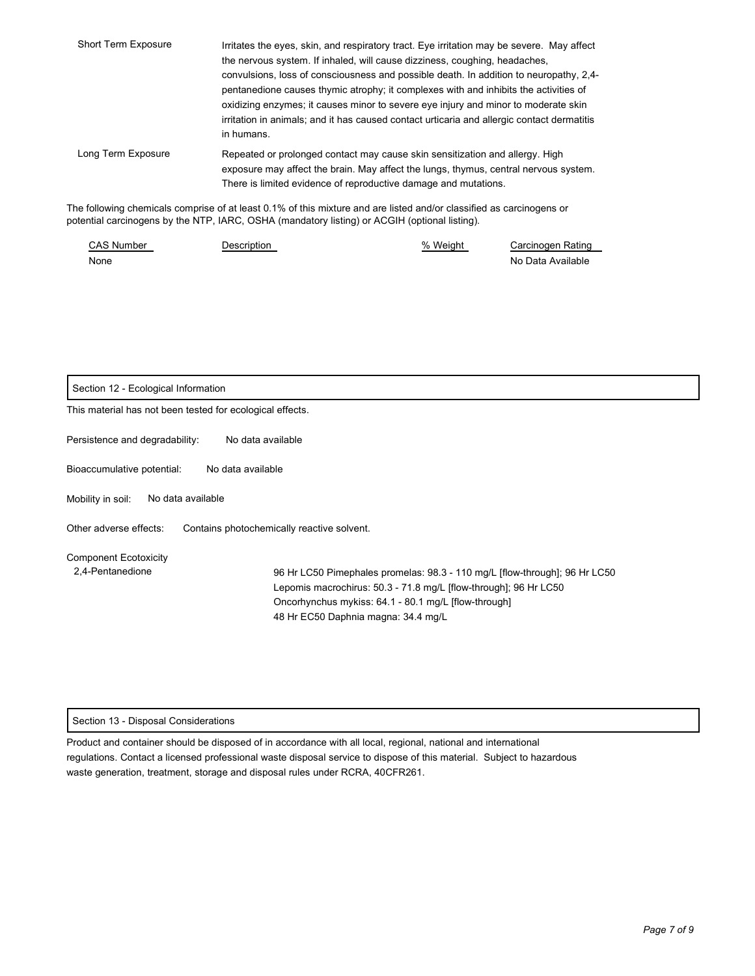| Short Term Exposure | Irritates the eyes, skin, and respiratory tract. Eye irritation may be severe. May affect<br>the nervous system. If inhaled, will cause dizziness, coughing, headaches,                                                                                                                                                                                                          |  |  |
|---------------------|----------------------------------------------------------------------------------------------------------------------------------------------------------------------------------------------------------------------------------------------------------------------------------------------------------------------------------------------------------------------------------|--|--|
|                     | convulsions, loss of consciousness and possible death. In addition to neuropathy, 2,4-<br>pentanedione causes thymic atrophy; it complexes with and inhibits the activities of<br>oxidizing enzymes; it causes minor to severe eye injury and minor to moderate skin<br>irritation in animals; and it has caused contact urticaria and allergic contact dermatitis<br>in humans. |  |  |
| Long Term Exposure  | Repeated or prolonged contact may cause skin sensitization and allergy. High<br>exposure may affect the brain. May affect the lungs, thymus, central nervous system.<br>There is limited evidence of reproductive damage and mutations.                                                                                                                                          |  |  |
|                     | be following chamicals comprise of at least 0.1% of this mixture and are listed and/or classified as carcinogens or                                                                                                                                                                                                                                                              |  |  |

The following chemicals comprise of at least 0.1% of this mixture and are listed and/or classified as carcinogens or potential carcinogens by the NTP, IARC, OSHA (mandatory listing) or ACGIH (optional listing).

| <b>CAS Number</b> | <b>Description</b> | % Weight | Carcinogen Rating |
|-------------------|--------------------|----------|-------------------|
| None              |                    |          | No Data Available |

| Section 12 - Ecological Information                                                                                                                                                                                                                                                               |  |  |
|---------------------------------------------------------------------------------------------------------------------------------------------------------------------------------------------------------------------------------------------------------------------------------------------------|--|--|
| This material has not been tested for ecological effects.                                                                                                                                                                                                                                         |  |  |
| Persistence and degradability:<br>No data available                                                                                                                                                                                                                                               |  |  |
| Bioaccumulative potential:<br>No data available                                                                                                                                                                                                                                                   |  |  |
| Mobility in soil:<br>No data available                                                                                                                                                                                                                                                            |  |  |
| Other adverse effects:<br>Contains photochemically reactive solvent.                                                                                                                                                                                                                              |  |  |
| <b>Component Ecotoxicity</b><br>2,4-Pentanedione<br>96 Hr LC50 Pimephales promelas: 98.3 - 110 mg/L [flow-through]; 96 Hr LC50<br>Lepomis macrochirus: 50.3 - 71.8 mg/L [flow-through]; 96 Hr LC50<br>Oncorhynchus mykiss: 64.1 - 80.1 mg/L [flow-through]<br>48 Hr EC50 Daphnia magna: 34.4 mg/L |  |  |

# Section 13 - Disposal Considerations

Product and container should be disposed of in accordance with all local, regional, national and international regulations. Contact a licensed professional waste disposal service to dispose of this material. Subject to hazardous waste generation, treatment, storage and disposal rules under RCRA, 40CFR261.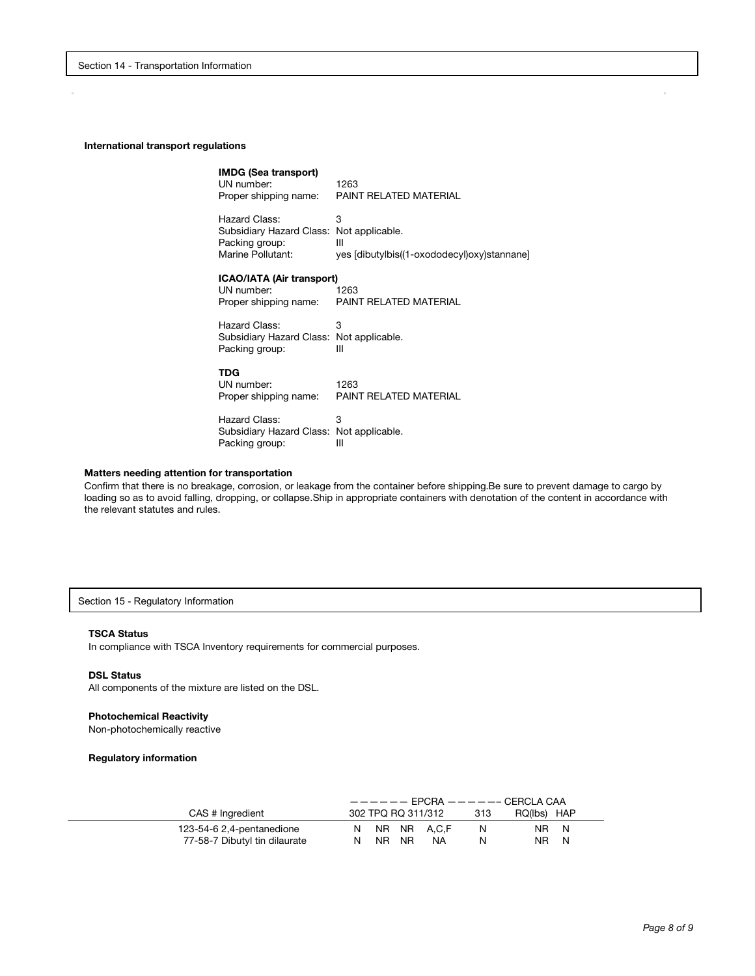#### **International transport regulations**

| <b>IMDG (Sea transport)</b><br>UN number:<br>Proper shipping name:                               | 1263<br>PAINT RELATED MATERIAL                        |
|--------------------------------------------------------------------------------------------------|-------------------------------------------------------|
| Hazard Class:<br>Subsidiary Hazard Class: Not applicable.<br>Packing group:<br>Marine Pollutant: | 3<br>Ш<br>yes [dibutylbis((1-oxododecyl)oxy)stannane] |
| ICAO/IATA (Air transport)<br>UN number:<br>Proper shipping name:                                 | 1263<br>PAINT RELATED MATERIAL                        |
| Hazard Class:<br>Subsidiary Hazard Class: Not applicable.<br>Packing group:                      | 3<br>Ш                                                |
| TDG<br>UN number:<br>Proper shipping name:                                                       | 1263<br>PAINT RELATED MATERIAL                        |
| Hazard Class:<br>Subsidiary Hazard Class: Not applicable.<br>Packing group:                      | 3<br>Ш                                                |

# **Matters needing attention for transportation**

Confirm that there is no breakage, corrosion, or leakage from the container before shipping.Be sure to prevent damage to cargo by loading so as to avoid falling, dropping, or collapse.Ship in appropriate containers with denotation of the content in accordance with the relevant statutes and rules.

Section 15 - Regulatory Information

#### **TSCA Status**

In compliance with TSCA Inventory requirements for commercial purposes.

#### **DSL Status**

All components of the mixture are listed on the DSL.

#### **Photochemical Reactivity**

Non-photochemically reactive

#### **Regulatory information**

|                               |    |       |                    |     | $------$ EPCRA $------$ CERCLA CAA |  |
|-------------------------------|----|-------|--------------------|-----|------------------------------------|--|
| CAS # Ingredient              |    |       | 302 TPQ RQ 311/312 | 313 | RQ(Ibs) HAP                        |  |
| 123-54-6 2,4-pentanedione     |    |       | N NR NR A.C.F      | N   | NR N                               |  |
| 77-58-7 Dibutyl tin dilaurate | N. | NR NR | NA.                | N   | NR N                               |  |